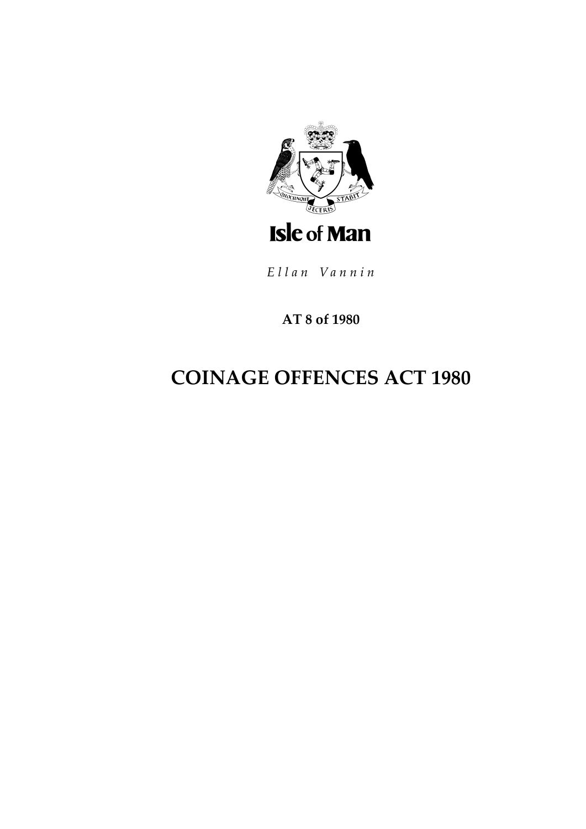

Ellan Vannin

AT 8 of 1980

# **COINAGE OFFENCES ACT 1980**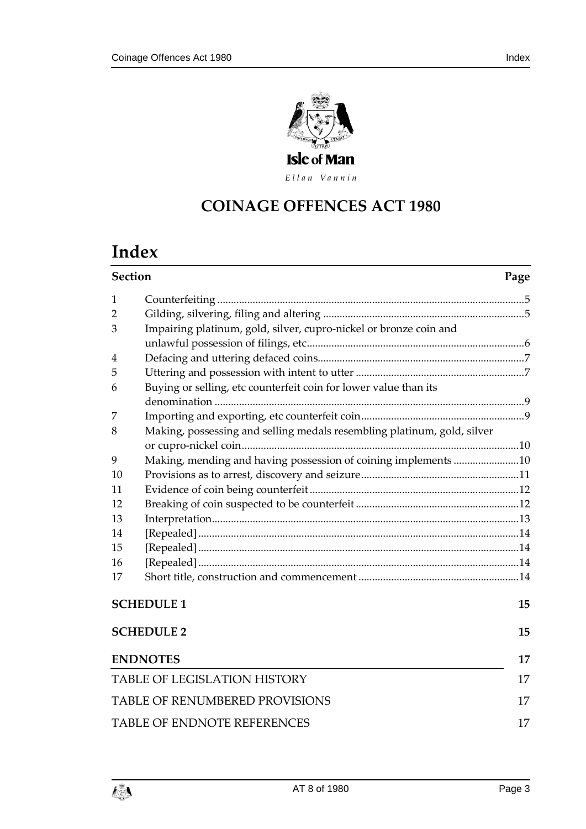

Ellan Vannin

# **COINAGE OFFENCES ACT 1980**

# **Index**

| <b>Section</b>                     |                                                                         | Page |  |
|------------------------------------|-------------------------------------------------------------------------|------|--|
| 1                                  |                                                                         |      |  |
| 2                                  |                                                                         |      |  |
| 3                                  | Impairing platinum, gold, silver, cupro-nickel or bronze coin and       |      |  |
|                                    |                                                                         |      |  |
| 4                                  |                                                                         |      |  |
| 5                                  |                                                                         |      |  |
| 6                                  | Buying or selling, etc counterfeit coin for lower value than its        |      |  |
| 7                                  |                                                                         |      |  |
| 8                                  | Making, possessing and selling medals resembling platinum, gold, silver |      |  |
| 9                                  | Making, mending and having possession of coining implements 10          |      |  |
| 10                                 |                                                                         |      |  |
| 11                                 |                                                                         |      |  |
| 12                                 |                                                                         |      |  |
| 13                                 |                                                                         |      |  |
| 14                                 |                                                                         |      |  |
| 15                                 |                                                                         |      |  |
| 16                                 |                                                                         |      |  |
| 17                                 |                                                                         |      |  |
|                                    | <b>SCHEDULE 1</b>                                                       | 15   |  |
|                                    | <b>SCHEDULE 2</b>                                                       | 15   |  |
|                                    | <b>ENDNOTES</b>                                                         | 17   |  |
|                                    | <b>TABLE OF LEGISLATION HISTORY</b>                                     |      |  |
|                                    | <b>TABLE OF RENUMBERED PROVISIONS</b>                                   |      |  |
| <b>TABLE OF ENDNOTE REFERENCES</b> |                                                                         |      |  |
|                                    |                                                                         |      |  |

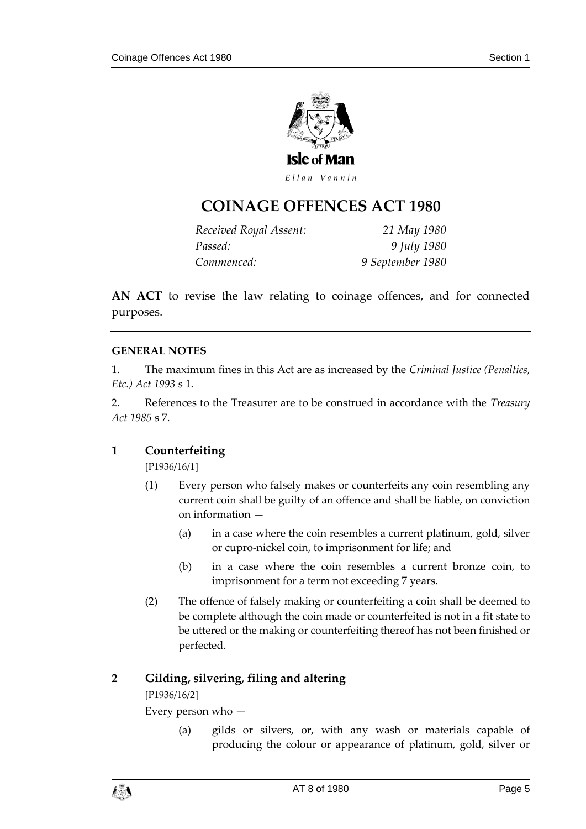

Ellan Vannin

# **COINAGE OFFENCES ACT 1980**

| Received Royal Assent: | 21 May 1980      |
|------------------------|------------------|
| Passed:                | 9 July 1980      |
| Commenced:             | 9 September 1980 |

**AN ACT** to revise the law relating to coinage offences, and for connected purposes.

#### **GENERAL NOTES**

1. The maximum fines in this Act are as increased by the *Criminal Justice (Penalties, Etc.) Act 1993* s 1.

2. References to the Treasurer are to be construed in accordance with the *Treasury Act 1985* s 7.

#### <span id="page-4-0"></span>**1 Counterfeiting**

[P1936/16/1]

- (1) Every person who falsely makes or counterfeits any coin resembling any current coin shall be guilty of an offence and shall be liable, on conviction on information —
	- (a) in a case where the coin resembles a current platinum, gold, silver or cupro-nickel coin, to imprisonment for life; and
	- (b) in a case where the coin resembles a current bronze coin, to imprisonment for a term not exceeding 7 years.
- (2) The offence of falsely making or counterfeiting a coin shall be deemed to be complete although the coin made or counterfeited is not in a fit state to be uttered or the making or counterfeiting thereof has not been finished or perfected.

#### <span id="page-4-1"></span>**2 Gilding, silvering, filing and altering**

[P1936/16/2]

Every person who —

(a) gilds or silvers, or, with any wash or materials capable of producing the colour or appearance of platinum, gold, silver or

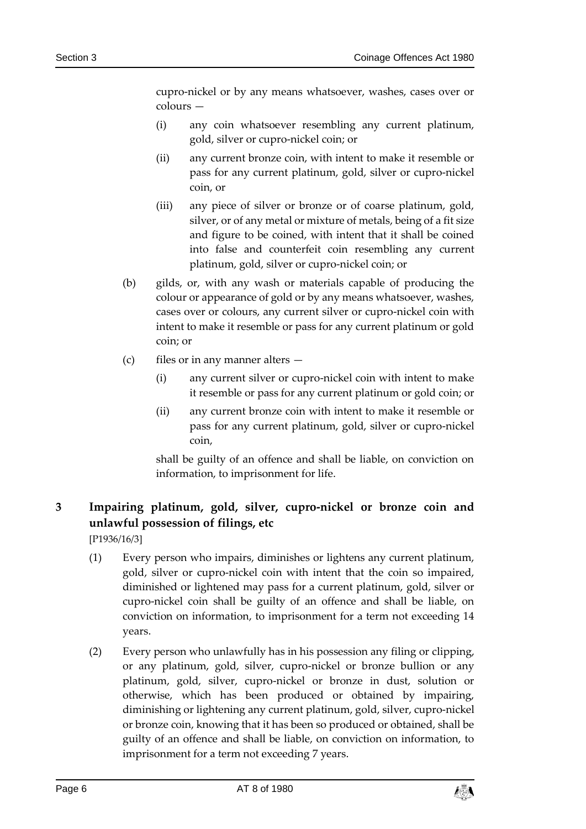cupro-nickel or by any means whatsoever, washes, cases over or colours —

- (i) any coin whatsoever resembling any current platinum, gold, silver or cupro-nickel coin; or
- (ii) any current bronze coin, with intent to make it resemble or pass for any current platinum, gold, silver or cupro-nickel coin, or
- (iii) any piece of silver or bronze or of coarse platinum, gold, silver, or of any metal or mixture of metals, being of a fit size and figure to be coined, with intent that it shall be coined into false and counterfeit coin resembling any current platinum, gold, silver or cupro-nickel coin; or
- (b) gilds, or, with any wash or materials capable of producing the colour or appearance of gold or by any means whatsoever, washes, cases over or colours, any current silver or cupro-nickel coin with intent to make it resemble or pass for any current platinum or gold coin; or
- (c) files or in any manner alters
	- (i) any current silver or cupro-nickel coin with intent to make it resemble or pass for any current platinum or gold coin; or
	- (ii) any current bronze coin with intent to make it resemble or pass for any current platinum, gold, silver or cupro-nickel coin,

shall be guilty of an offence and shall be liable, on conviction on information, to imprisonment for life.

# <span id="page-5-0"></span>**3 Impairing platinum, gold, silver, cupro-nickel or bronze coin and unlawful possession of filings, etc**

[P1936/16/3]

- (1) Every person who impairs, diminishes or lightens any current platinum, gold, silver or cupro-nickel coin with intent that the coin so impaired, diminished or lightened may pass for a current platinum, gold, silver or cupro-nickel coin shall be guilty of an offence and shall be liable, on conviction on information, to imprisonment for a term not exceeding 14 years.
- (2) Every person who unlawfully has in his possession any filing or clipping, or any platinum, gold, silver, cupro-nickel or bronze bullion or any platinum, gold, silver, cupro-nickel or bronze in dust, solution or otherwise, which has been produced or obtained by impairing, diminishing or lightening any current platinum, gold, silver, cupro-nickel or bronze coin, knowing that it has been so produced or obtained, shall be guilty of an offence and shall be liable, on conviction on information, to imprisonment for a term not exceeding 7 years.

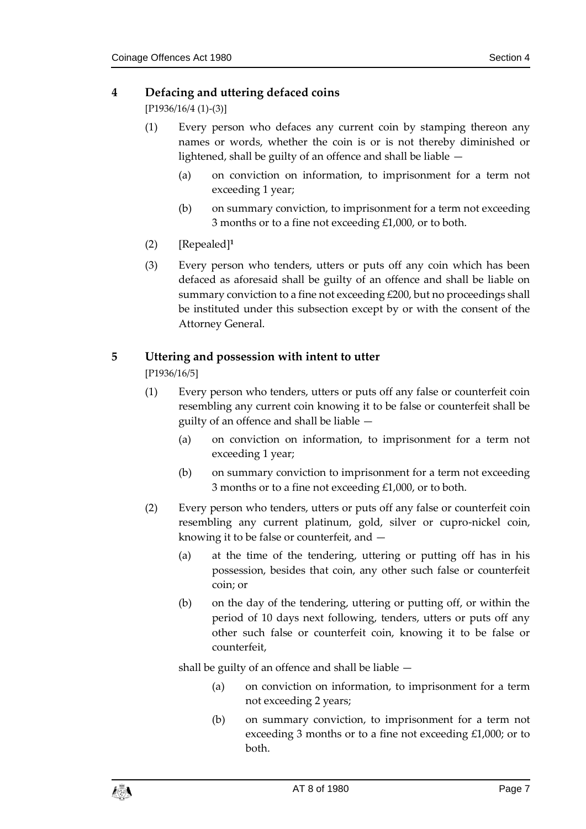#### <span id="page-6-0"></span>**4 Defacing and uttering defaced coins**

[P1936/16/4 (1)-(3)]

- (1) Every person who defaces any current coin by stamping thereon any names or words, whether the coin is or is not thereby diminished or lightened, shall be guilty of an offence and shall be liable —
	- (a) on conviction on information, to imprisonment for a term not exceeding 1 year;
	- (b) on summary conviction, to imprisonment for a term not exceeding 3 months or to a fine not exceeding £1,000, or to both.
- (2) [Repealed]**<sup>1</sup>**
- (3) Every person who tenders, utters or puts off any coin which has been defaced as aforesaid shall be guilty of an offence and shall be liable on summary conviction to a fine not exceeding £200, but no proceedings shall be instituted under this subsection except by or with the consent of the Attorney General.

#### <span id="page-6-1"></span>**5 Uttering and possession with intent to utter**

[P1936/16/5]

- (1) Every person who tenders, utters or puts off any false or counterfeit coin resembling any current coin knowing it to be false or counterfeit shall be guilty of an offence and shall be liable —
	- (a) on conviction on information, to imprisonment for a term not exceeding 1 year;
	- (b) on summary conviction to imprisonment for a term not exceeding 3 months or to a fine not exceeding £1,000, or to both.
- (2) Every person who tenders, utters or puts off any false or counterfeit coin resembling any current platinum, gold, silver or cupro-nickel coin, knowing it to be false or counterfeit, and —
	- (a) at the time of the tendering, uttering or putting off has in his possession, besides that coin, any other such false or counterfeit coin; or
	- (b) on the day of the tendering, uttering or putting off, or within the period of 10 days next following, tenders, utters or puts off any other such false or counterfeit coin, knowing it to be false or counterfeit,

shall be guilty of an offence and shall be liable —

- (a) on conviction on information, to imprisonment for a term not exceeding 2 years;
- (b) on summary conviction, to imprisonment for a term not exceeding 3 months or to a fine not exceeding £1,000; or to both.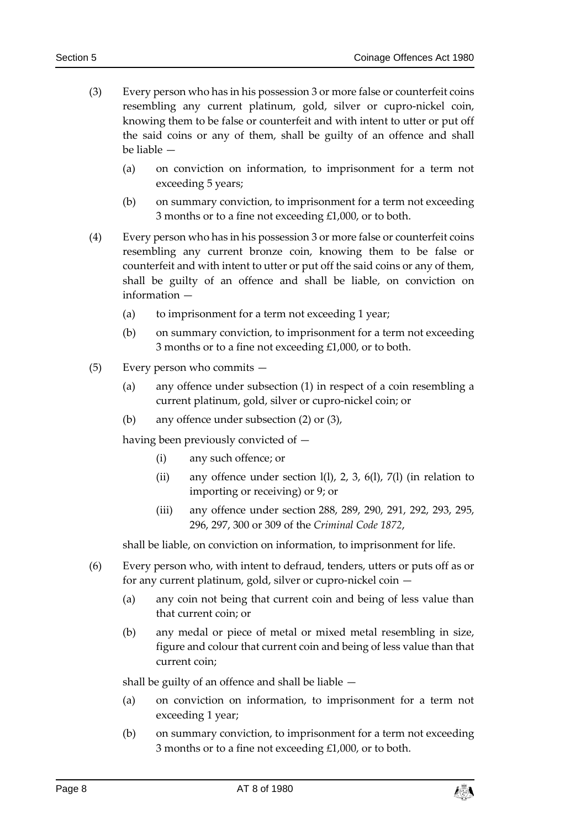- (3) Every person who has in his possession 3 or more false or counterfeit coins resembling any current platinum, gold, silver or cupro-nickel coin, knowing them to be false or counterfeit and with intent to utter or put off the said coins or any of them, shall be guilty of an offence and shall be liable —
	- (a) on conviction on information, to imprisonment for a term not exceeding 5 years;
	- (b) on summary conviction, to imprisonment for a term not exceeding 3 months or to a fine not exceeding £1,000, or to both.
- (4) Every person who has in his possession 3 or more false or counterfeit coins resembling any current bronze coin, knowing them to be false or counterfeit and with intent to utter or put off the said coins or any of them, shall be guilty of an offence and shall be liable, on conviction on information —
	- (a) to imprisonment for a term not exceeding 1 year;
	- (b) on summary conviction, to imprisonment for a term not exceeding 3 months or to a fine not exceeding £1,000, or to both.
- (5) Every person who commits
	- (a) any offence under subsection (1) in respect of a coin resembling a current platinum, gold, silver or cupro-nickel coin; or
	- (b) any offence under subsection (2) or (3),

having been previously convicted of —

- (i) any such offence; or
- (ii) any offence under section  $l(l)$ , 2, 3, 6(l), 7(l) (in relation to importing or receiving) or 9; or
- (iii) any offence under section 288, 289, 290, 291, 292, 293, 295, 296, 297, 300 or 309 of the *Criminal Code 1872*,

shall be liable, on conviction on information, to imprisonment for life.

- (6) Every person who, with intent to defraud, tenders, utters or puts off as or for any current platinum, gold, silver or cupro-nickel coin —
	- (a) any coin not being that current coin and being of less value than that current coin; or
	- (b) any medal or piece of metal or mixed metal resembling in size, figure and colour that current coin and being of less value than that current coin;

shall be guilty of an offence and shall be liable —

- (a) on conviction on information, to imprisonment for a term not exceeding 1 year;
- (b) on summary conviction, to imprisonment for a term not exceeding 3 months or to a fine not exceeding £1,000, or to both.

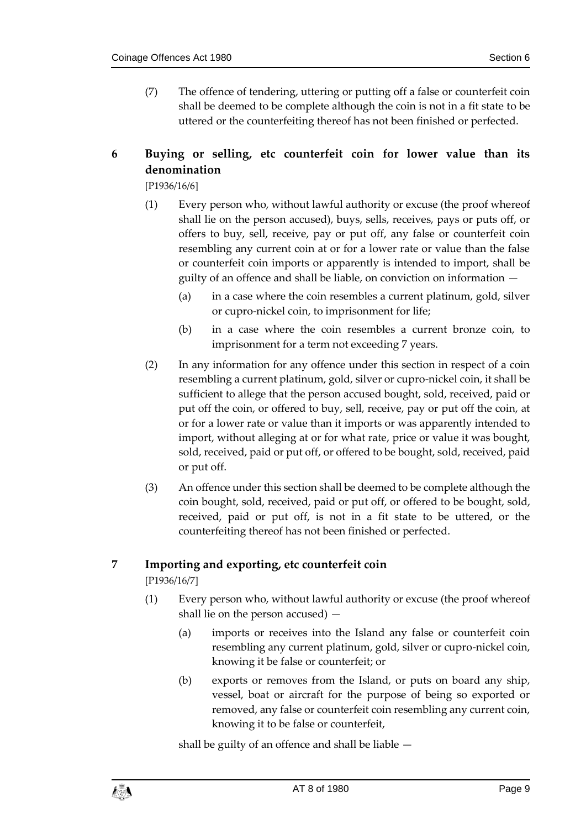(7) The offence of tendering, uttering or putting off a false or counterfeit coin shall be deemed to be complete although the coin is not in a fit state to be uttered or the counterfeiting thereof has not been finished or perfected.

# <span id="page-8-0"></span>**6 Buying or selling, etc counterfeit coin for lower value than its denomination**

[P1936/16/6]

- (1) Every person who, without lawful authority or excuse (the proof whereof shall lie on the person accused), buys, sells, receives, pays or puts off, or offers to buy, sell, receive, pay or put off, any false or counterfeit coin resembling any current coin at or for a lower rate or value than the false or counterfeit coin imports or apparently is intended to import, shall be guilty of an offence and shall be liable, on conviction on information —
	- (a) in a case where the coin resembles a current platinum, gold, silver or cupro-nickel coin, to imprisonment for life;
	- (b) in a case where the coin resembles a current bronze coin, to imprisonment for a term not exceeding 7 years.
- (2) In any information for any offence under this section in respect of a coin resembling a current platinum, gold, silver or cupro-nickel coin, it shall be sufficient to allege that the person accused bought, sold, received, paid or put off the coin, or offered to buy, sell, receive, pay or put off the coin, at or for a lower rate or value than it imports or was apparently intended to import, without alleging at or for what rate, price or value it was bought, sold, received, paid or put off, or offered to be bought, sold, received, paid or put off.
- (3) An offence under this section shall be deemed to be complete although the coin bought, sold, received, paid or put off, or offered to be bought, sold, received, paid or put off, is not in a fit state to be uttered, or the counterfeiting thereof has not been finished or perfected.

#### <span id="page-8-1"></span>**7 Importing and exporting, etc counterfeit coin**

[P1936/16/7]

- (1) Every person who, without lawful authority or excuse (the proof whereof shall lie on the person accused) —
	- (a) imports or receives into the Island any false or counterfeit coin resembling any current platinum, gold, silver or cupro-nickel coin, knowing it be false or counterfeit; or
	- (b) exports or removes from the Island, or puts on board any ship, vessel, boat or aircraft for the purpose of being so exported or removed, any false or counterfeit coin resembling any current coin, knowing it to be false or counterfeit,

shall be guilty of an offence and shall be liable —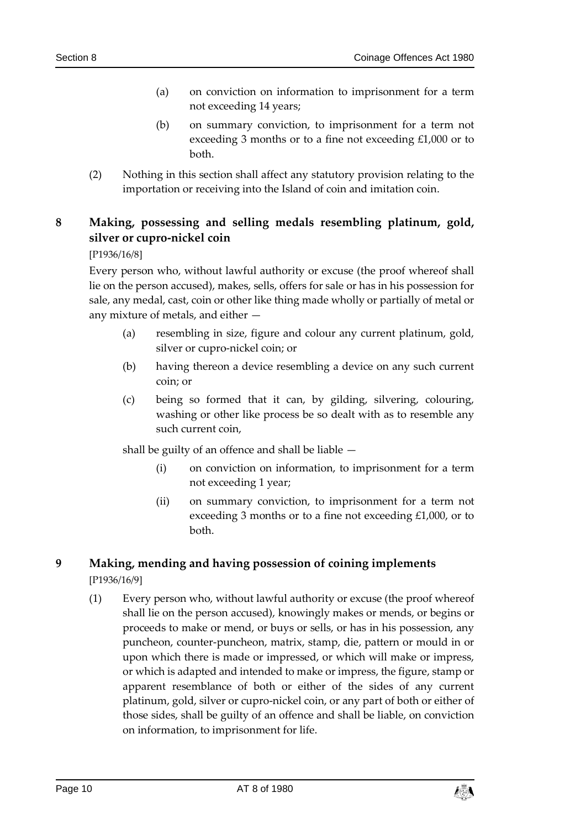- (a) on conviction on information to imprisonment for a term not exceeding 14 years;
- (b) on summary conviction, to imprisonment for a term not exceeding 3 months or to a fine not exceeding £1,000 or to both.
- (2) Nothing in this section shall affect any statutory provision relating to the importation or receiving into the Island of coin and imitation coin.

## <span id="page-9-0"></span>**8 Making, possessing and selling medals resembling platinum, gold, silver or cupro-nickel coin**

[P1936/16/8]

Every person who, without lawful authority or excuse (the proof whereof shall lie on the person accused), makes, sells, offers for sale or has in his possession for sale, any medal, cast, coin or other like thing made wholly or partially of metal or any mixture of metals, and either —

- (a) resembling in size, figure and colour any current platinum, gold, silver or cupro-nickel coin; or
- (b) having thereon a device resembling a device on any such current coin; or
- (c) being so formed that it can, by gilding, silvering, colouring, washing or other like process be so dealt with as to resemble any such current coin,

shall be guilty of an offence and shall be liable —

- (i) on conviction on information, to imprisonment for a term not exceeding 1 year;
- (ii) on summary conviction, to imprisonment for a term not exceeding 3 months or to a fine not exceeding £1,000, or to both.

#### <span id="page-9-1"></span>**9 Making, mending and having possession of coining implements** [P1936/16/9]

(1) Every person who, without lawful authority or excuse (the proof whereof shall lie on the person accused), knowingly makes or mends, or begins or proceeds to make or mend, or buys or sells, or has in his possession, any puncheon, counter-puncheon, matrix, stamp, die, pattern or mould in or upon which there is made or impressed, or which will make or impress, or which is adapted and intended to make or impress, the figure, stamp or apparent resemblance of both or either of the sides of any current platinum, gold, silver or cupro-nickel coin, or any part of both or either of those sides, shall be guilty of an offence and shall be liable, on conviction on information, to imprisonment for life.

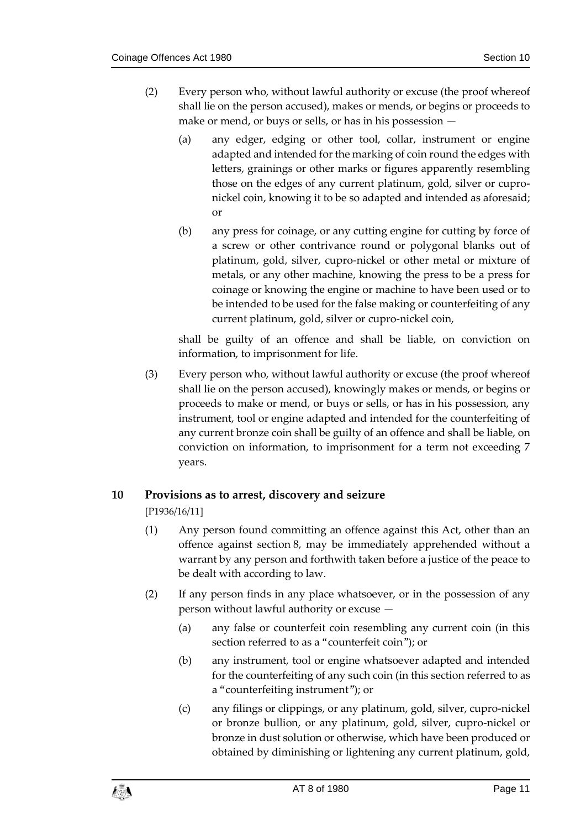- (2) Every person who, without lawful authority or excuse (the proof whereof shall lie on the person accused), makes or mends, or begins or proceeds to make or mend, or buys or sells, or has in his possession —
	- (a) any edger, edging or other tool, collar, instrument or engine adapted and intended for the marking of coin round the edges with letters, grainings or other marks or figures apparently resembling those on the edges of any current platinum, gold, silver or cupronickel coin, knowing it to be so adapted and intended as aforesaid; or
	- (b) any press for coinage, or any cutting engine for cutting by force of a screw or other contrivance round or polygonal blanks out of platinum, gold, silver, cupro-nickel or other metal or mixture of metals, or any other machine, knowing the press to be a press for coinage or knowing the engine or machine to have been used or to be intended to be used for the false making or counterfeiting of any current platinum, gold, silver or cupro-nickel coin,

shall be guilty of an offence and shall be liable, on conviction on information, to imprisonment for life.

(3) Every person who, without lawful authority or excuse (the proof whereof shall lie on the person accused), knowingly makes or mends, or begins or proceeds to make or mend, or buys or sells, or has in his possession, any instrument, tool or engine adapted and intended for the counterfeiting of any current bronze coin shall be guilty of an offence and shall be liable, on conviction on information, to imprisonment for a term not exceeding 7 years.

#### <span id="page-10-0"></span>**10 Provisions as to arrest, discovery and seizure**

[P1936/16/11]

- (1) Any person found committing an offence against this Act, other than an offence against section 8, may be immediately apprehended without a warrant by any person and forthwith taken before a justice of the peace to be dealt with according to law.
- (2) If any person finds in any place whatsoever, or in the possession of any person without lawful authority or excuse —
	- (a) any false or counterfeit coin resembling any current coin (in this section referred to as a "counterfeit coin"); or
	- (b) any instrument, tool or engine whatsoever adapted and intended for the counterfeiting of any such coin (in this section referred to as a "counterfeiting instrument"); or
	- (c) any filings or clippings, or any platinum, gold, silver, cupro-nickel or bronze bullion, or any platinum, gold, silver, cupro-nickel or bronze in dust solution or otherwise, which have been produced or obtained by diminishing or lightening any current platinum, gold,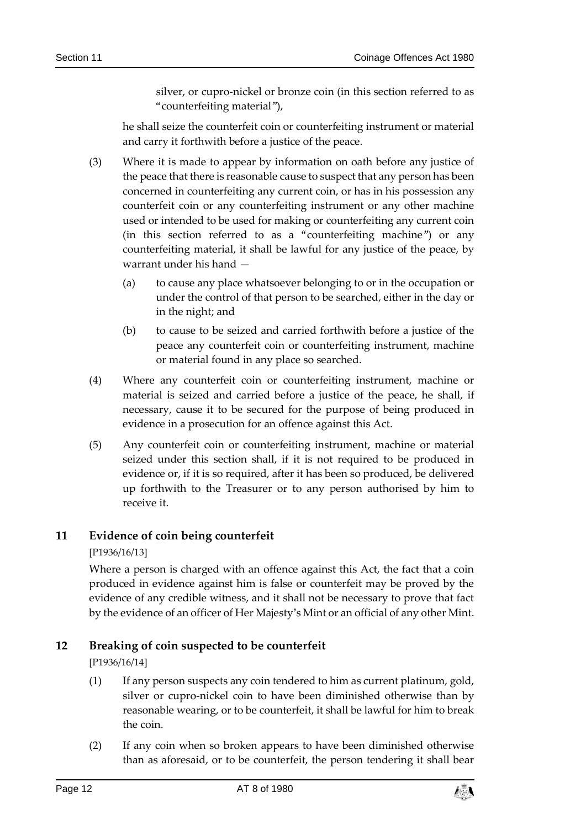silver, or cupro-nickel or bronze coin (in this section referred to as "counterfeiting material"),

he shall seize the counterfeit coin or counterfeiting instrument or material and carry it forthwith before a justice of the peace.

- (3) Where it is made to appear by information on oath before any justice of the peace that there is reasonable cause to suspect that any person has been concerned in counterfeiting any current coin, or has in his possession any counterfeit coin or any counterfeiting instrument or any other machine used or intended to be used for making or counterfeiting any current coin (in this section referred to as a "counterfeiting machine") or any counterfeiting material, it shall be lawful for any justice of the peace, by warrant under his hand —
	- (a) to cause any place whatsoever belonging to or in the occupation or under the control of that person to be searched, either in the day or in the night; and
	- (b) to cause to be seized and carried forthwith before a justice of the peace any counterfeit coin or counterfeiting instrument, machine or material found in any place so searched.
- (4) Where any counterfeit coin or counterfeiting instrument, machine or material is seized and carried before a justice of the peace, he shall, if necessary, cause it to be secured for the purpose of being produced in evidence in a prosecution for an offence against this Act.
- (5) Any counterfeit coin or counterfeiting instrument, machine or material seized under this section shall, if it is not required to be produced in evidence or, if it is so required, after it has been so produced, be delivered up forthwith to the Treasurer or to any person authorised by him to receive it.

#### <span id="page-11-0"></span>**11 Evidence of coin being counterfeit**

#### [P1936/16/13]

Where a person is charged with an offence against this Act, the fact that a coin produced in evidence against him is false or counterfeit may be proved by the evidence of any credible witness, and it shall not be necessary to prove that fact by the evidence of an officer of Her Majesty's Mint or an official of any other Mint.

#### <span id="page-11-1"></span>**12 Breaking of coin suspected to be counterfeit**

[P1936/16/14]

- (1) If any person suspects any coin tendered to him as current platinum, gold, silver or cupro-nickel coin to have been diminished otherwise than by reasonable wearing, or to be counterfeit, it shall be lawful for him to break the coin.
- (2) If any coin when so broken appears to have been diminished otherwise than as aforesaid, or to be counterfeit, the person tendering it shall bear

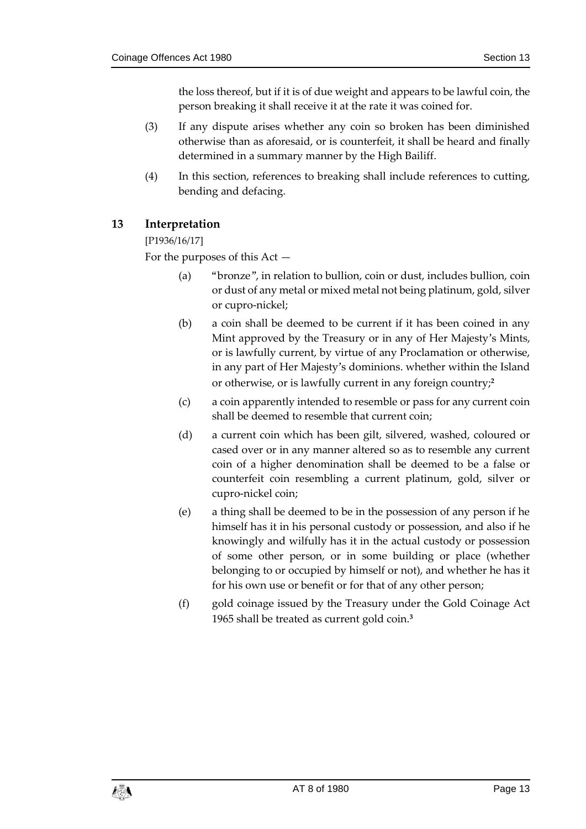the loss thereof, but if it is of due weight and appears to be lawful coin, the person breaking it shall receive it at the rate it was coined for.

- (3) If any dispute arises whether any coin so broken has been diminished otherwise than as aforesaid, or is counterfeit, it shall be heard and finally determined in a summary manner by the High Bailiff.
- (4) In this section, references to breaking shall include references to cutting, bending and defacing.

#### <span id="page-12-0"></span>**13 Interpretation**

#### [P1936/16/17]

For the purposes of this Act —

- (a) "bronze", in relation to bullion, coin or dust, includes bullion, coin or dust of any metal or mixed metal not being platinum, gold, silver or cupro-nickel;
- (b) a coin shall be deemed to be current if it has been coined in any Mint approved by the Treasury or in any of Her Majesty's Mints, or is lawfully current, by virtue of any Proclamation or otherwise, in any part of Her Majesty's dominions. whether within the Island or otherwise, or is lawfully current in any foreign country;**<sup>2</sup>**
- (c) a coin apparently intended to resemble or pass for any current coin shall be deemed to resemble that current coin;
- (d) a current coin which has been gilt, silvered, washed, coloured or cased over or in any manner altered so as to resemble any current coin of a higher denomination shall be deemed to be a false or counterfeit coin resembling a current platinum, gold, silver or cupro-nickel coin;
- (e) a thing shall be deemed to be in the possession of any person if he himself has it in his personal custody or possession, and also if he knowingly and wilfully has it in the actual custody or possession of some other person, or in some building or place (whether belonging to or occupied by himself or not), and whether he has it for his own use or benefit or for that of any other person;
- (f) gold coinage issued by the Treasury under the Gold Coinage Act 1965 shall be treated as current gold coin.**3**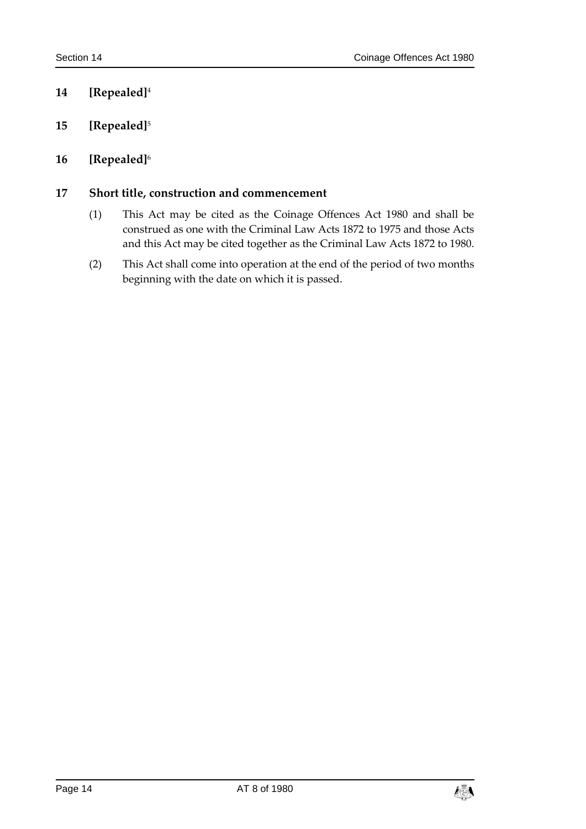### <span id="page-13-0"></span>**14 [Repealed]**<sup>4</sup>

- <span id="page-13-1"></span>**15 [Repealed]**<sup>5</sup>
- <span id="page-13-2"></span>**16 [Repealed]**<sup>6</sup>

#### <span id="page-13-3"></span>**17 Short title, construction and commencement**

- (1) This Act may be cited as the Coinage Offences Act 1980 and shall be construed as one with the Criminal Law Acts 1872 to 1975 and those Acts and this Act may be cited together as the Criminal Law Acts 1872 to 1980.
- (2) This Act shall come into operation at the end of the period of two months beginning with the date on which it is passed.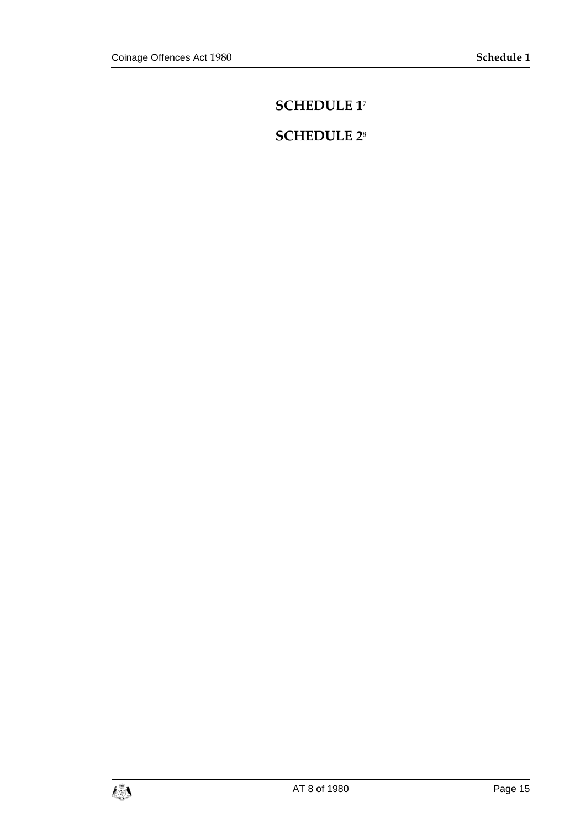# <span id="page-14-0"></span>**SCHEDULE 1**<sup>7</sup>

# <span id="page-14-1"></span>**SCHEDULE 2**8